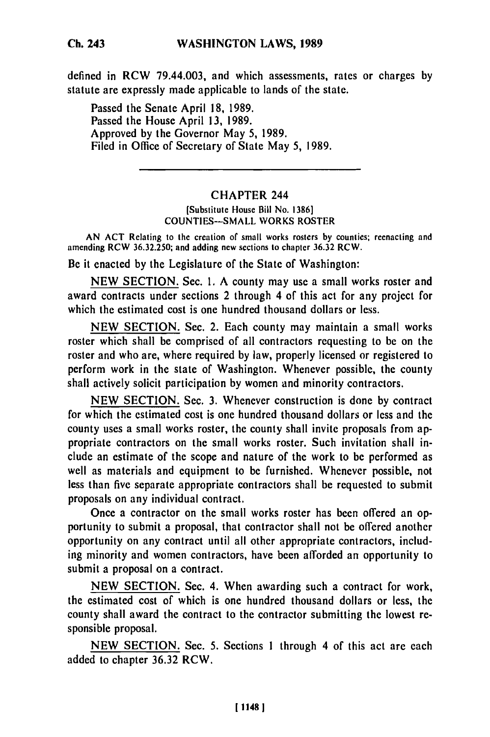defined in RCW 79.44.003, and which assessments, rates or charges by statute are expressly made applicable to lands of the state.

Passed the Senate April **18,** 1989. Passed the House April **13,** 1989. Approved by the Governor May **5,** 1989. Filed in Office of Secretary of State May **5,** 1989.

## CHAPTER 244

## [Substitute House Bill No. **1386]** COUNTIES-SMALL WORKS ROSTER

AN **ACT** Relating to the creation of small works rosters by counties; reenacting and amending RCW 36.32.250; and adding new sections to chapter 36.32 RCW.

Be it enacted by the Legislature of the State of Washington:

NEW SECTION. Sec. 1. A county may use a small works roster and award contracts under sections 2 through 4 of this act for any project for which the estimated cost is one hundred thousand dollars or less.

NEW **SECTION.** Sec. 2. Each county may maintain a small works roster which shall be comprised of all contractors requesting to be on the roster and who are, where required **by** law, properly licensed or registered to perform work in the state of Washington. Whenever possible, the county shall actively solicit participation **by** women and minority contractors.

**NEW** SECTION. Sec. **3.** Whenever construction is done **by** contract for which the estimated cost is one hundred thousand dollars or less and the county uses a small works roster, the county shall invite proposals from appropriate contractors on the small works roster. Such invitation shall include an estimate of the scope and nature of the work to be performed as well as materials and equipment to be furnished. Whenever possible, not less than five separate appropriate contractors shall be requested to submit proposals on any individual contract.

Once a contractor on the small works roster has been offered an opportunity to submit a proposal, that contractor shall not be offered another opportunity on any contract until all other appropriate contractors, including minority and women contractors, have been afforded an opportunity to submit a proposal on a contract.

**NEW** SECTION. Sec. 4. When awarding such a contract for work, the estimated cost of which is one hundred thousand dollars or less, the county shall award the contract to the contractor submitting the lowest responsible proposal.

**NEW** SECTION. Sec. 5. Sections 1 through 4 of this act are each added to chapter **36.32** RCW.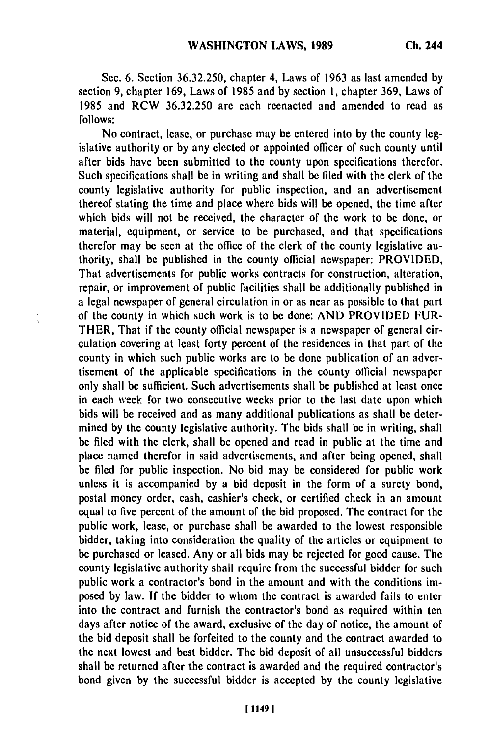Sec. 6. Section **36.32.250,** chapter 4, Laws of **1963** as last amended **by** section **9,** chapter **169,** Laws of **1985** and **by** section **1,** chapter **369,** Laws of **1985** and RCW **36.32.250** are each reenacted and amended to read as **follows:**

No contract, lease, or purchase may be entered into **by** the county legislative authority or **by** any elected or appointed officer of such county until after bids have been submitted to the county upon specifications therefor. Such specifications shall be in writing and shall **be** filed with the clerk of the county legislative authority for public inspection, and an advertisement thereof stating the time and place where bids will be opened, the time after which bids will not be received, the character of the work to be done, or material, equipment, or service to be purchased, and that specifications therefor may be seen at the office of the clerk of the county legislative authority, shall be published in the county official newspaper: PROVIDED, That advertisements for public works contracts for construction, alteration, repair, or improvement of public facilities shall be additionally published in a legal newspaper of general circulation in or as near as possible to that part of the county in which such work is to be done: **AND** PROVIDED FUR-THER, That if the county official newspaper is a newspaper of general circulation covering at least forty percent of the residences in that part of the county in which such public works are to be done publication of an advertisement of the applicable specifications in the county official newspaper only shall be sufficient. Such advertisements shall be published at least once in each week for two consecutive weeks prior to the last date upon which bids will be received and as many additional publications as shall be determined **by** the county legislative authority. The bids shall **be** in writing, shall be filed with the clerk, shall be opened and read in public at the time and place named therefor in said advertisements, and after being opened, shall be filed for public inspection. No bid may be considered for public work unless it is accompanied **by** a bid deposit in the form of a surety bond, postal money order, cash, cashier's check, or certified check in an amount equal to five percent of the amount of the bid proposed. The contract for the public work, lease, or purchase shall be awarded to the lowest responsible bidder, taking into consideration the quality of the articles or equipment to be purchased or leased. Any or all bids may be rejected for good cause. The county legislative authority shall require from the successful bidder for such public work a contractor's bond in the amount and with the conditions imposed **by** law. **If** the bidder to whom the contract is awarded fails to enter into the contract and furnish the contractor's bond as required within ten days after notice of the award, exclusive of the day of notice, the amount of the bid deposit shall be forfeited to the county and the contract awarded to the next lowest and best bidder. The bid deposit of all unsuccessful bidders shall be returned after the contract is awarded and the required contractor's bond given **by** the successful bidder is accepted **by** the county legislative